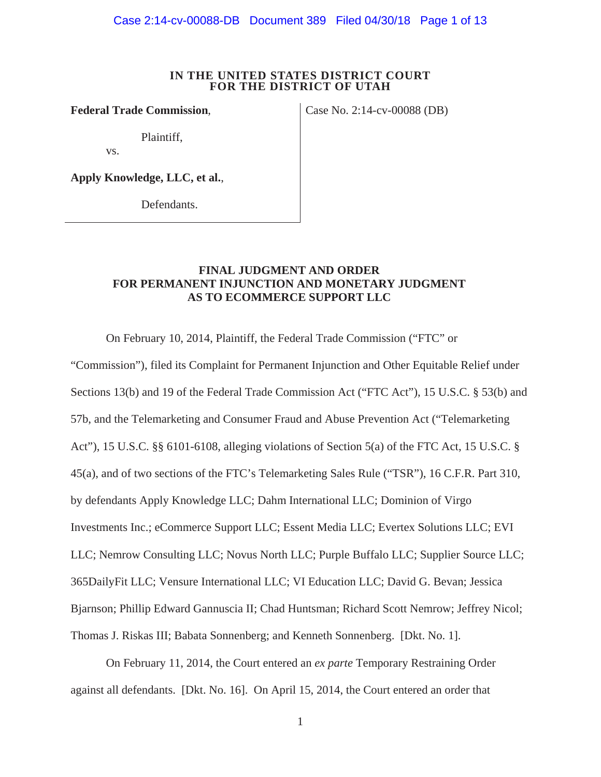Case 2:14-cv-00088-DB Document 389 Filed 04/30/18 Page 1 of 13

#### **IN THE UNITED STATES DISTRICT COURT FOR THE DISTRICT OF UTAH**

**Federal Trade Commission, Case No. 2:14-cv-00088 (DB)** 

Plaintiff,

vs.

**Apply Knowledge, LLC, et al.**,

Defendants.

# **FINAL JUDGMENT AND ORDER FOR PERMANENT INJUNCTION AND MONETARY JUDGMENT AS TO ECOMMERCE SUPPORT LLC**

On February 10, 2014, Plaintiff, the Federal Trade Commission ("FTC" or

"Commission"), filed its Complaint for Permanent Injunction and Other Equitable Relief under Sections 13(b) and 19 of the Federal Trade Commission Act ("FTC Act"), 15 U.S.C. § 53(b) and 57b, and the Telemarketing and Consumer Fraud and Abuse Prevention Act ("Telemarketing Act"), 15 U.S.C. §§ 6101-6108, alleging violations of Section 5(a) of the FTC Act, 15 U.S.C. § 45(a), and of two sections of the FTC's Telemarketing Sales Rule ("TSR"), 16 C.F.R. Part 310, by defendants Apply Knowledge LLC; Dahm International LLC; Dominion of Virgo Investments Inc.; eCommerce Support LLC; Essent Media LLC; Evertex Solutions LLC; EVI LLC; Nemrow Consulting LLC; Novus North LLC; Purple Buffalo LLC; Supplier Source LLC; 365DailyFit LLC; Vensure International LLC; VI Education LLC; David G. Bevan; Jessica Bjarnson; Phillip Edward Gannuscia II; Chad Huntsman; Richard Scott Nemrow; Jeffrey Nicol; Thomas J. Riskas III; Babata Sonnenberg; and Kenneth Sonnenberg. [Dkt. No. 1].

On February 11, 2014, the Court entered an *ex parte* Temporary Restraining Order against all defendants. [Dkt. No. 16]. On April 15, 2014, the Court entered an order that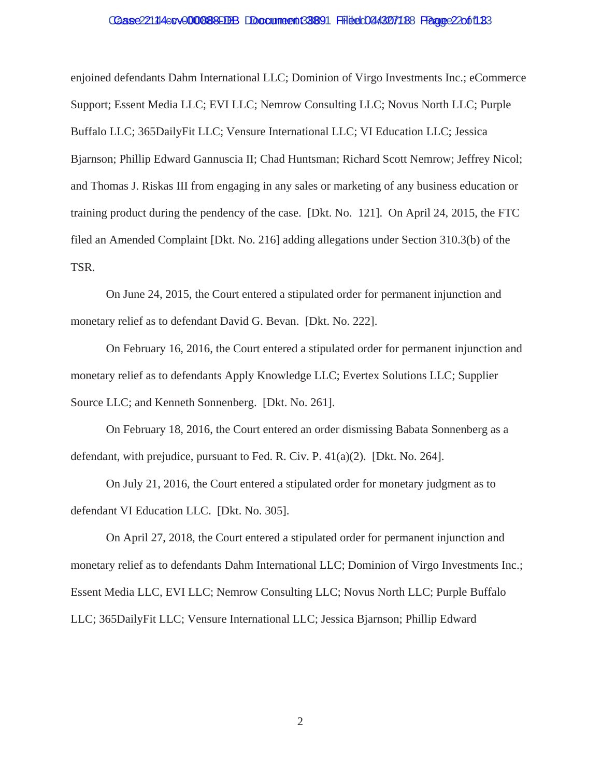# Case 22114 4:0 v 000888 EDB Document 38891 Filed 04/307188 Fragge 22061183

enjoined defendants Dahm International LLC; Dominion of Virgo Investments Inc.; eCommerce Support; Essent Media LLC; EVI LLC; Nemrow Consulting LLC; Novus North LLC; Purple Buffalo LLC; 365DailyFit LLC; Vensure International LLC; VI Education LLC; Jessica Bjarnson; Phillip Edward Gannuscia II; Chad Huntsman; Richard Scott Nemrow; Jeffrey Nicol; and Thomas J. Riskas III from engaging in any sales or marketing of any business education or training product during the pendency of the case. [Dkt. No. 121]. On April 24, 2015, the FTC filed an Amended Complaint [Dkt. No. 216] adding allegations under Section 310.3(b) of the TSR.

On June 24, 2015, the Court entered a stipulated order for permanent injunction and monetary relief as to defendant David G. Bevan. [Dkt. No. 222].

On February 16, 2016, the Court entered a stipulated order for permanent injunction and monetary relief as to defendants Apply Knowledge LLC; Evertex Solutions LLC; Supplier Source LLC; and Kenneth Sonnenberg. [Dkt. No. 261].

On February 18, 2016, the Court entered an order dismissing Babata Sonnenberg as a defendant, with prejudice, pursuant to Fed. R. Civ. P. 41(a)(2). [Dkt. No. 264].

On July 21, 2016, the Court entered a stipulated order for monetary judgment as to defendant VI Education LLC. [Dkt. No. 305].

On April 27, 2018, the Court entered a stipulated order for permanent injunction and monetary relief as to defendants Dahm International LLC; Dominion of Virgo Investments Inc.; Essent Media LLC, EVI LLC; Nemrow Consulting LLC; Novus North LLC; Purple Buffalo LLC; 365DailyFit LLC; Vensure International LLC; Jessica Bjarnson; Phillip Edward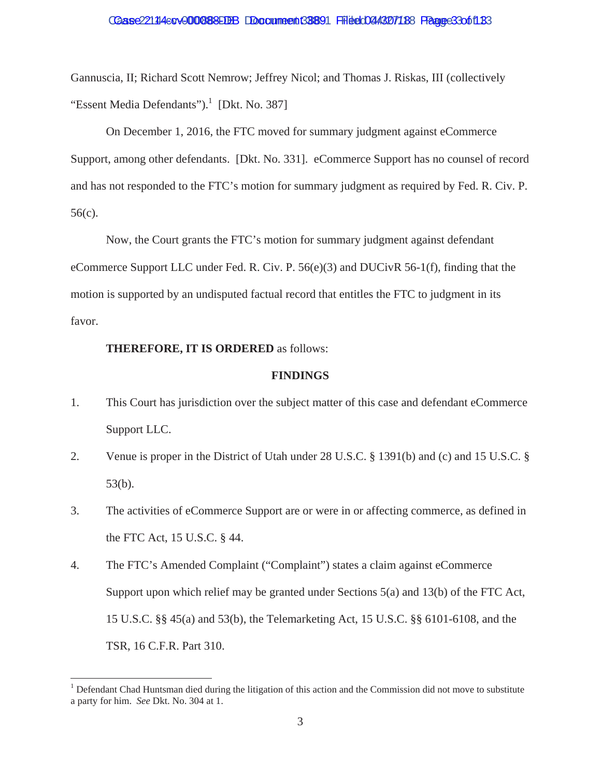#### Caase 221 14 4 cov 000888 FIBB Document 38891 Filed 04/307 188 France 3 3 of 18 3

Gannuscia, II; Richard Scott Nemrow; Jeffrey Nicol; and Thomas J. Riskas, III (collectively "Essent Media Defendants"). $\frac{1}{1}$  [Dkt. No. 387]

On December 1, 2016, the FTC moved for summary judgment against eCommerce Support, among other defendants. [Dkt. No. 331]. eCommerce Support has no counsel of record and has not responded to the FTC's motion for summary judgment as required by Fed. R. Civ. P. 56(c).

Now, the Court grants the FTC's motion for summary judgment against defendant eCommerce Support LLC under Fed. R. Civ. P. 56(e)(3) and DUCivR 56-1(f), finding that the motion is supported by an undisputed factual record that entitles the FTC to judgment in its favor.

#### **THEREFORE, IT IS ORDERED** as follows:

#### **FINDINGS**

- 1. This Court has jurisdiction over the subject matter of this case and defendant eCommerce Support LLC.
- 2. Venue is proper in the District of Utah under 28 U.S.C. § 1391(b) and (c) and 15 U.S.C. § 53(b).
- 3. The activities of eCommerce Support are or were in or affecting commerce, as defined in the FTC Act, 15 U.S.C. § 44.
- 4. The FTC's Amended Complaint ("Complaint") states a claim against eCommerce Support upon which relief may be granted under Sections 5(a) and 13(b) of the FTC Act, 15 U.S.C. §§ 45(a) and 53(b), the Telemarketing Act, 15 U.S.C. §§ 6101-6108, and the TSR, 16 C.F.R. Part 310.

 a party for him. *See* Dkt. No. 304 at 1. <sup>1</sup> Defendant Chad Huntsman died during the litigation of this action and the Commission did not move to substitute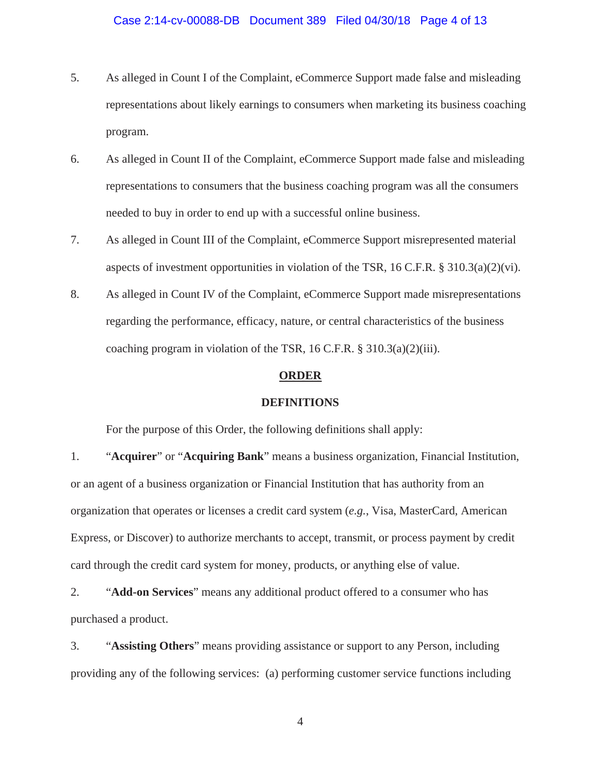# Case 2:14-cv-00088-DB Document 389 Filed 04/30/18 Page 4 of 13

- 5. As alleged in Count I of the Complaint, eCommerce Support made false and misleading representations about likely earnings to consumers when marketing its business coaching program.
- 6. As alleged in Count II of the Complaint, eCommerce Support made false and misleading representations to consumers that the business coaching program was all the consumers needed to buy in order to end up with a successful online business.
- 7. As alleged in Count III of the Complaint, eCommerce Support misrepresented material aspects of investment opportunities in violation of the TSR, 16 C.F.R.  $\S$  310.3(a)(2)(vi).
- 8. As alleged in Count IV of the Complaint, eCommerce Support made misrepresentations regarding the performance, efficacy, nature, or central characteristics of the business coaching program in violation of the TSR, 16 C.F.R. § 310.3(a)(2)(iii).

#### **ORDER**

#### **DEFINITIONS**

For the purpose of this Order, the following definitions shall apply:

1. "**Acquirer**" or "**Acquiring Bank**" means a business organization, Financial Institution, or an agent of a business organization or Financial Institution that has authority from an organization that operates or licenses a credit card system (*e.g.*, Visa, MasterCard, American Express, or Discover) to authorize merchants to accept, transmit, or process payment by credit card through the credit card system for money, products, or anything else of value.

2. "**Add-on Services**" means any additional product offered to a consumer who has purchased a product.

3. "**Assisting Others**" means providing assistance or support to any Person, including providing any of the following services: (a) performing customer service functions including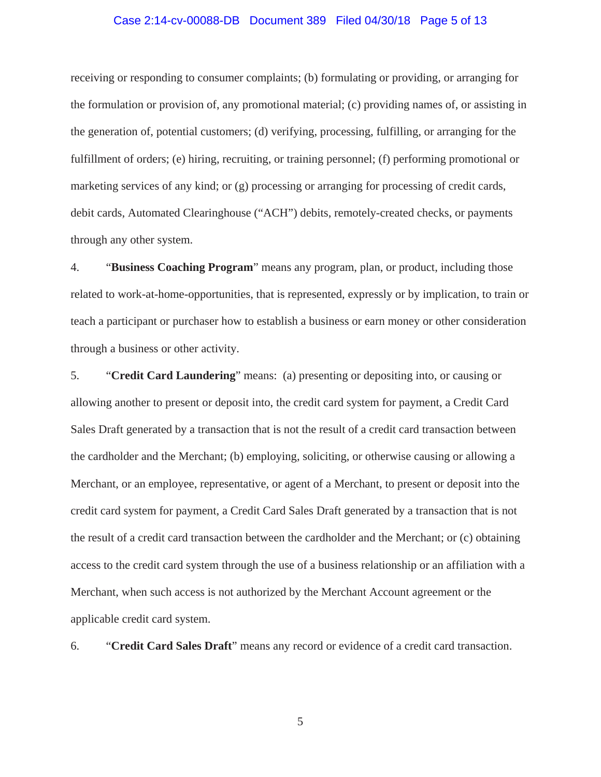# Case 2:14-cv-00088-DB Document 389 Filed 04/30/18 Page 5 of 13

receiving or responding to consumer complaints; (b) formulating or providing, or arranging for the formulation or provision of, any promotional material; (c) providing names of, or assisting in the generation of, potential customers; (d) verifying, processing, fulfilling, or arranging for the fulfillment of orders; (e) hiring, recruiting, or training personnel; (f) performing promotional or marketing services of any kind; or (g) processing or arranging for processing of credit cards, debit cards, Automated Clearinghouse ("ACH") debits, remotely-created checks, or payments through any other system.

4. "**Business Coaching Program**" means any program, plan, or product, including those related to work-at-home-opportunities, that is represented, expressly or by implication, to train or teach a participant or purchaser how to establish a business or earn money or other consideration through a business or other activity.

5. "**Credit Card Laundering**" means: (a) presenting or depositing into, or causing or allowing another to present or deposit into, the credit card system for payment, a Credit Card Sales Draft generated by a transaction that is not the result of a credit card transaction between the cardholder and the Merchant; (b) employing, soliciting, or otherwise causing or allowing a Merchant, or an employee, representative, or agent of a Merchant, to present or deposit into the credit card system for payment, a Credit Card Sales Draft generated by a transaction that is not the result of a credit card transaction between the cardholder and the Merchant; or (c) obtaining access to the credit card system through the use of a business relationship or an affiliation with a Merchant, when such access is not authorized by the Merchant Account agreement or the applicable credit card system.

6. "**Credit Card Sales Draft**" means any record or evidence of a credit card transaction.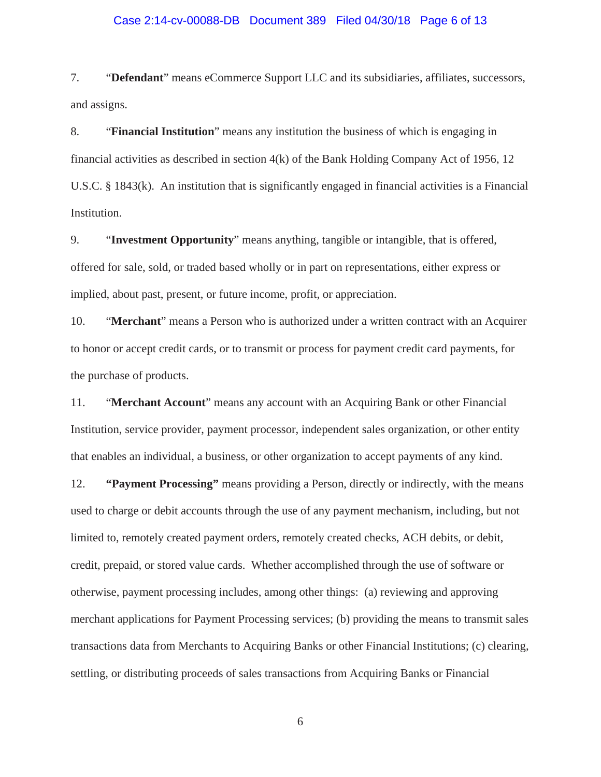# Case 2:14-cv-00088-DB Document 389 Filed 04/30/18 Page 6 of 13

7. "**Defendant**" means eCommerce Support LLC and its subsidiaries, affiliates, successors, and assigns.

8. "**Financial Institution**" means any institution the business of which is engaging in financial activities as described in section  $4(k)$  of the Bank Holding Company Act of 1956, 12 U.S.C. § 1843(k). An institution that is significantly engaged in financial activities is a Financial Institution.

9. "**Investment Opportunity**" means anything, tangible or intangible, that is offered, offered for sale, sold, or traded based wholly or in part on representations, either express or implied, about past, present, or future income, profit, or appreciation.

10. "**Merchant**" means a Person who is authorized under a written contract with an Acquirer to honor or accept credit cards, or to transmit or process for payment credit card payments, for the purchase of products.

11. "**Merchant Account**" means any account with an Acquiring Bank or other Financial Institution, service provider, payment processor, independent sales organization, or other entity that enables an individual, a business, or other organization to accept payments of any kind.

12. **"Payment Processing"** means providing a Person, directly or indirectly, with the means used to charge or debit accounts through the use of any payment mechanism, including, but not limited to, remotely created payment orders, remotely created checks, ACH debits, or debit, credit, prepaid, or stored value cards. Whether accomplished through the use of software or otherwise, payment processing includes, among other things: (a) reviewing and approving merchant applications for Payment Processing services; (b) providing the means to transmit sales transactions data from Merchants to Acquiring Banks or other Financial Institutions; (c) clearing, settling, or distributing proceeds of sales transactions from Acquiring Banks or Financial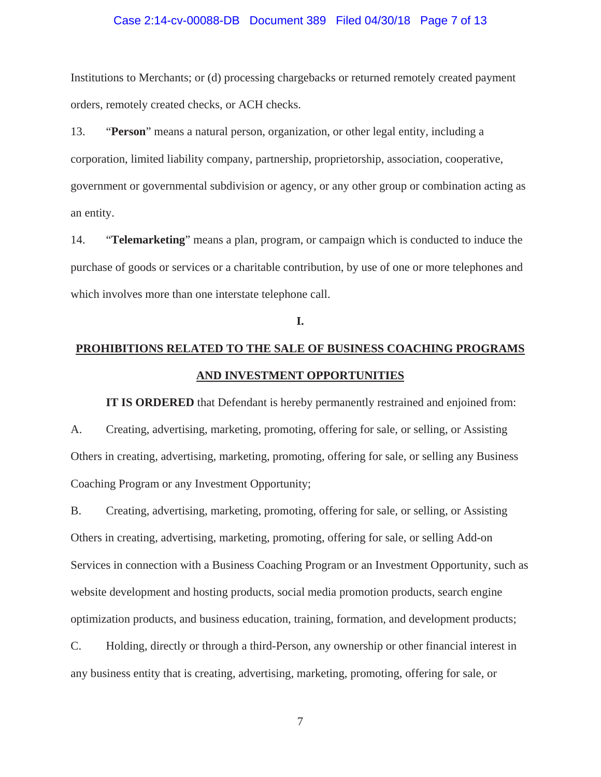# Case 2:14-cv-00088-DB Document 389 Filed 04/30/18 Page 7 of 13

Institutions to Merchants; or (d) processing chargebacks or returned remotely created payment orders, remotely created checks, or ACH checks.

13. "**Person**" means a natural person, organization, or other legal entity, including a corporation, limited liability company, partnership, proprietorship, association, cooperative, government or governmental subdivision or agency, or any other group or combination acting as an entity.

14. "**Telemarketing**" means a plan, program, or campaign which is conducted to induce the purchase of goods or services or a charitable contribution, by use of one or more telephones and which involves more than one interstate telephone call.

# **I.**

# **PROHIBITIONS RELATED TO THE SALE OF BUSINESS COACHING PROGRAMS AND INVESTMENT OPPORTUNITIES**

**IT IS ORDERED** that Defendant is hereby permanently restrained and enjoined from: A. Creating, advertising, marketing, promoting, offering for sale, or selling, or Assisting Others in creating, advertising, marketing, promoting, offering for sale, or selling any Business Coaching Program or any Investment Opportunity;

B. Creating, advertising, marketing, promoting, offering for sale, or selling, or Assisting Others in creating, advertising, marketing, promoting, offering for sale, or selling Add-on Services in connection with a Business Coaching Program or an Investment Opportunity, such as website development and hosting products, social media promotion products, search engine optimization products, and business education, training, formation, and development products;

C. Holding, directly or through a third-Person, any ownership or other financial interest in any business entity that is creating, advertising, marketing, promoting, offering for sale, or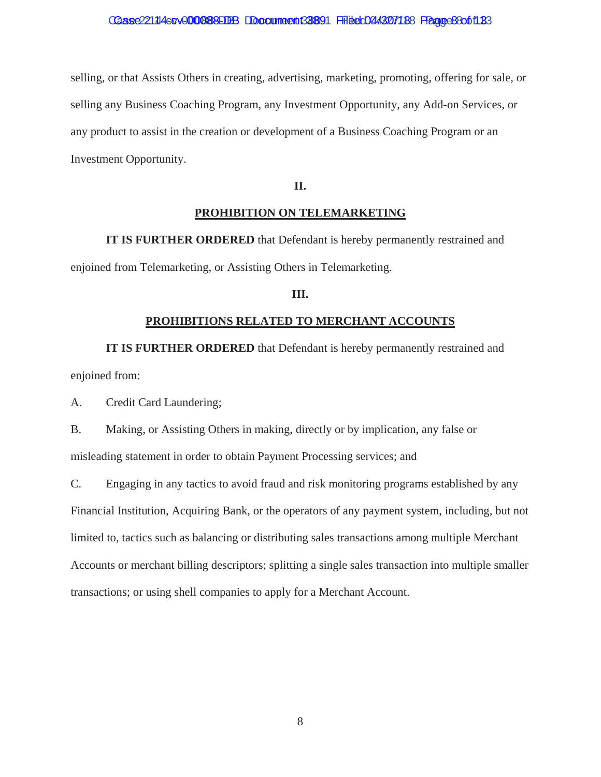selling, or that Assists Others in creating, advertising, marketing, promoting, offering for sale, or selling any Business Coaching Program, any Investment Opportunity, any Add-on Services, or any product to assist in the creation or development of a Business Coaching Program or an Investment Opportunity.

# **II.**

# **PROHIBITION ON TELEMARKETING**

**IT IS FURTHER ORDERED** that Defendant is hereby permanently restrained and enjoined from Telemarketing, or Assisting Others in Telemarketing.

# **III.**

# **PROHIBITIONS RELATED TO MERCHANT ACCOUNTS**

**IT IS FURTHER ORDERED** that Defendant is hereby permanently restrained and enjoined from:

A. Credit Card Laundering;

B. Making, or Assisting Others in making, directly or by implication, any false or misleading statement in order to obtain Payment Processing services; and

C. Engaging in any tactics to avoid fraud and risk monitoring programs established by any Financial Institution, Acquiring Bank, or the operators of any payment system, including, but not limited to, tactics such as balancing or distributing sales transactions among multiple Merchant Accounts or merchant billing descriptors; splitting a single sales transaction into multiple smaller transactions; or using shell companies to apply for a Merchant Account.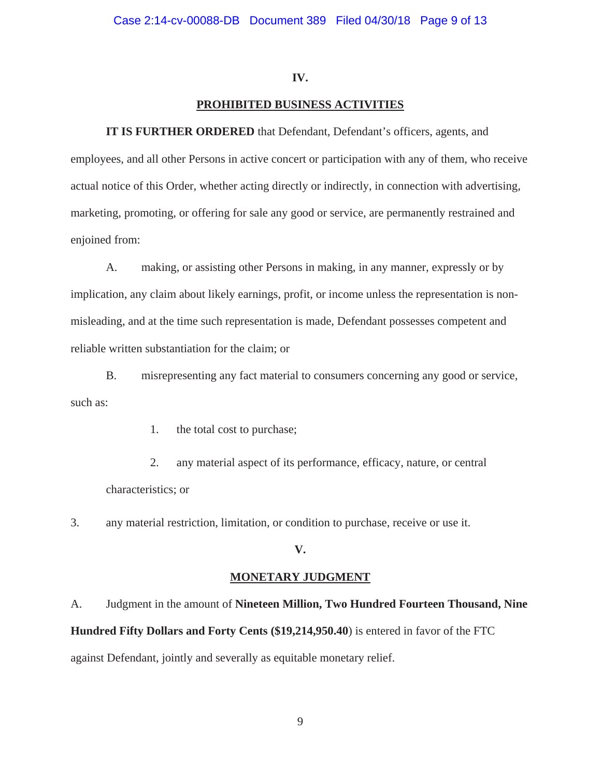# **IV.**

# **PROHIBITED BUSINESS ACTIVITIES**

**IT IS FURTHER ORDERED** that Defendant, Defendant's officers, agents, and employees, and all other Persons in active concert or participation with any of them, who receive actual notice of this Order, whether acting directly or indirectly, in connection with advertising, marketing, promoting, or offering for sale any good or service, are permanently restrained and enjoined from:

A. making, or assisting other Persons in making, in any manner, expressly or by implication, any claim about likely earnings, profit, or income unless the representation is nonmisleading, and at the time such representation is made, Defendant possesses competent and reliable written substantiation for the claim; or

B. misrepresenting any fact material to consumers concerning any good or service, such as:

1. the total cost to purchase;

2. any material aspect of its performance, efficacy, nature, or central characteristics; or

3. any material restriction, limitation, or condition to purchase, receive or use it.

# **V.**

# **MONETARY JUDGMENT**

A. Judgment in the amount of **Nineteen Million, Two Hundred Fourteen Thousand, Nine Hundred Fifty Dollars and Forty Cents (\$19,214,950.40**) is entered in favor of the FTC against Defendant, jointly and severally as equitable monetary relief.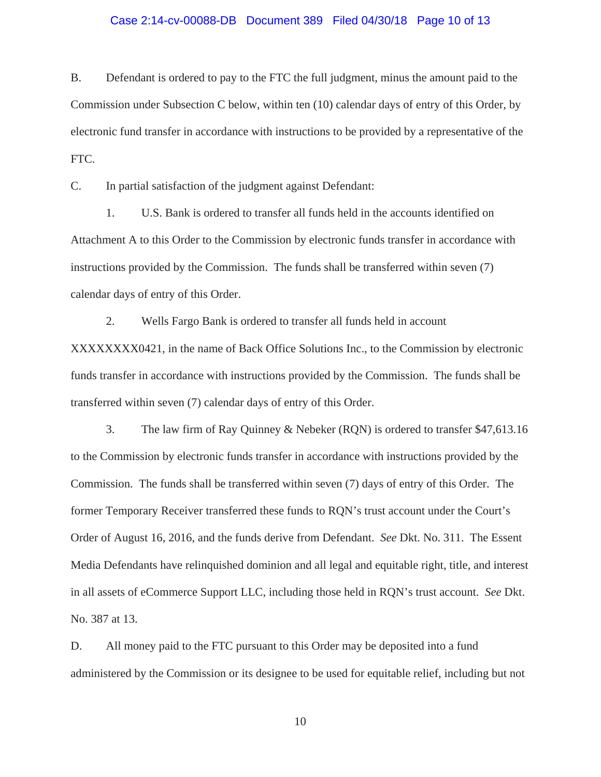# Case 2:14-cv-00088-DB Document 389 Filed 04/30/18 Page 10 of 13

B. Defendant is ordered to pay to the FTC the full judgment, minus the amount paid to the Commission under Subsection C below, within ten (10) calendar days of entry of this Order, by electronic fund transfer in accordance with instructions to be provided by a representative of the FTC.

C. In partial satisfaction of the judgment against Defendant:

1. U.S. Bank is ordered to transfer all funds held in the accounts identified on Attachment A to this Order to the Commission by electronic funds transfer in accordance with instructions provided by the Commission. The funds shall be transferred within seven (7) calendar days of entry of this Order.

2. Wells Fargo Bank is ordered to transfer all funds held in account XXXXXXXX0421, in the name of Back Office Solutions Inc., to the Commission by electronic funds transfer in accordance with instructions provided by the Commission. The funds shall be transferred within seven (7) calendar days of entry of this Order.

3. The law firm of Ray Quinney & Nebeker (RQN) is ordered to transfer \$47,613.16 to the Commission by electronic funds transfer in accordance with instructions provided by the Commission. The funds shall be transferred within seven (7) days of entry of this Order. The former Temporary Receiver transferred these funds to RQN's trust account under the Court's Order of August 16, 2016, and the funds derive from Defendant. *See* Dkt. No. 311. The Essent Media Defendants have relinquished dominion and all legal and equitable right, title, and interest in all assets of eCommerce Support LLC, including those held in RQN's trust account. *See* Dkt. No. 387 at 13.

D. All money paid to the FTC pursuant to this Order may be deposited into a fund administered by the Commission or its designee to be used for equitable relief, including but not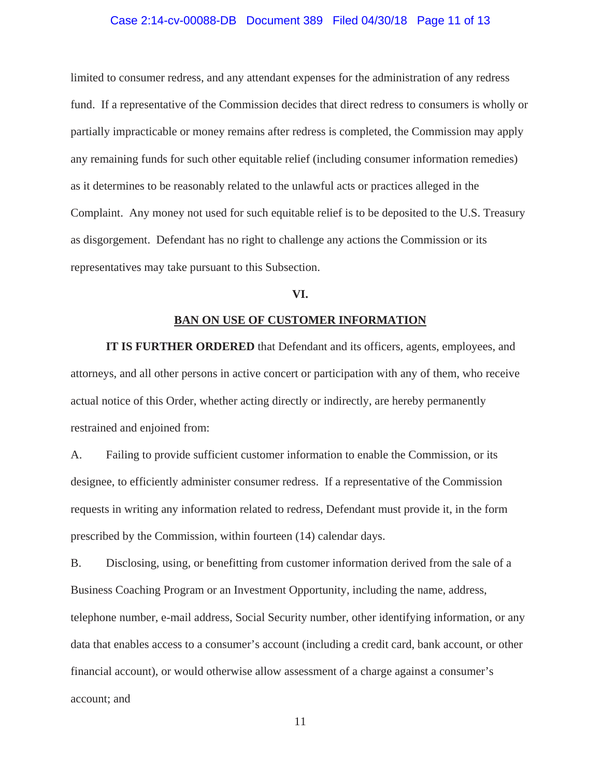# Case 2:14-cv-00088-DB Document 389 Filed 04/30/18 Page 11 of 13

limited to consumer redress, and any attendant expenses for the administration of any redress fund. If a representative of the Commission decides that direct redress to consumers is wholly or partially impracticable or money remains after redress is completed, the Commission may apply any remaining funds for such other equitable relief (including consumer information remedies) as it determines to be reasonably related to the unlawful acts or practices alleged in the Complaint. Any money not used for such equitable relief is to be deposited to the U.S. Treasury as disgorgement. Defendant has no right to challenge any actions the Commission or its representatives may take pursuant to this Subsection.

# **VI.**

# **BAN ON USE OF CUSTOMER INFORMATION**

**IT IS FURTHER ORDERED** that Defendant and its officers, agents, employees, and attorneys, and all other persons in active concert or participation with any of them, who receive actual notice of this Order, whether acting directly or indirectly, are hereby permanently restrained and enjoined from:

A. Failing to provide sufficient customer information to enable the Commission, or its designee, to efficiently administer consumer redress. If a representative of the Commission requests in writing any information related to redress, Defendant must provide it, in the form prescribed by the Commission, within fourteen (14) calendar days.

B. Disclosing, using, or benefitting from customer information derived from the sale of a Business Coaching Program or an Investment Opportunity, including the name, address, telephone number, e-mail address, Social Security number, other identifying information, or any data that enables access to a consumer's account (including a credit card, bank account, or other financial account), or would otherwise allow assessment of a charge against a consumer's account; and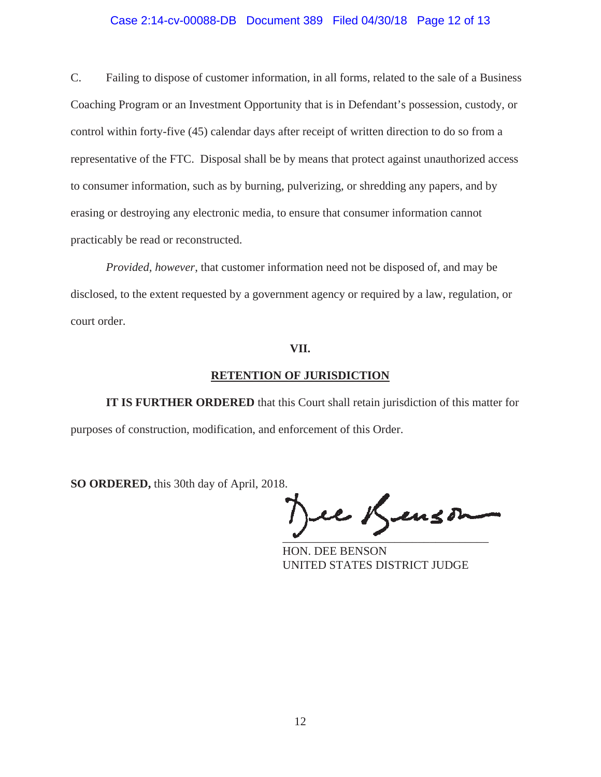# Case 2:14-cv-00088-DB Document 389 Filed 04/30/18 Page 12 of 13

C. Failing to dispose of customer information, in all forms, related to the sale of a Business Coaching Program or an Investment Opportunity that is in Defendant's possession, custody, or control within forty-five (45) calendar days after receipt of written direction to do so from a representative of the FTC. Disposal shall be by means that protect against unauthorized access to consumer information, such as by burning, pulverizing, or shredding any papers, and by erasing or destroying any electronic media, to ensure that consumer information cannot practicably be read or reconstructed.

*Provided, however*, that customer information need not be disposed of, and may be disclosed, to the extent requested by a government agency or required by a law, regulation, or court order.

# **VII.**

# **RETENTION OF JURISDICTION**

**IT IS FURTHER ORDERED** that this Court shall retain jurisdiction of this matter for purposes of construction, modification, and enforcement of this Order.

**SO ORDERED,** this 30th day of April, 2018.

 $\overline{\phantom{a}}$ 

HON. DEE BENSON UNITED STATES DISTRICT JUDGE